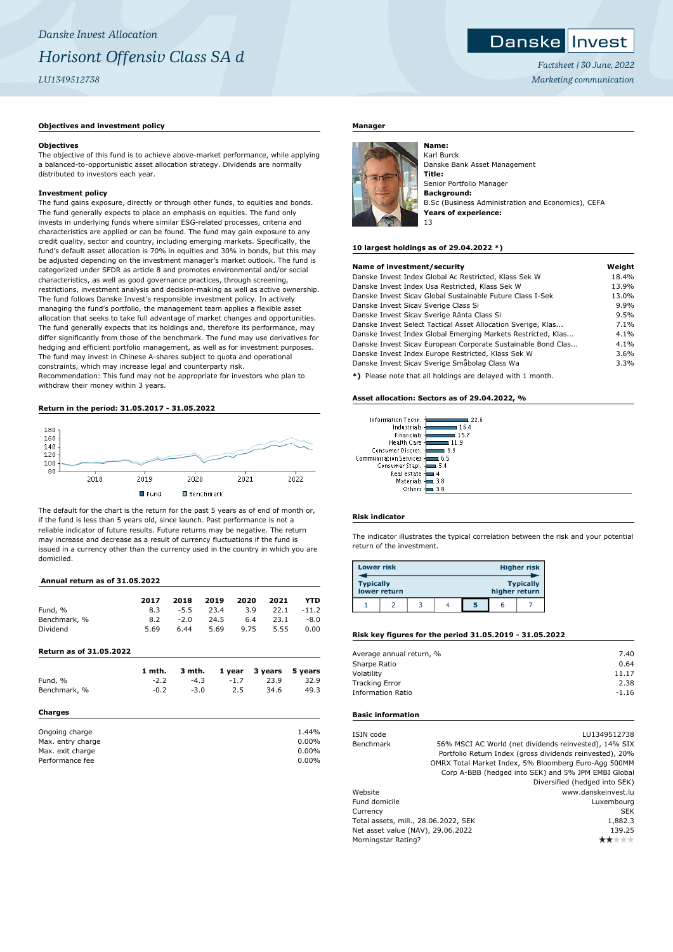# **Danske Invest**

*Factsheet | 30 June, 2022 Marketing communication*

# **Objectives and investment policy**

# **Objectives**

The objective of this fund is to achieve above-market performance, while applying a balanced-to-opportunistic asset allocation strategy. Dividends are normally distributed to investors each year.

# **Investment policy**

The fund gains exposure, directly or through other funds, to equities and bonds. The fund generally expects to place an emphasis on equities. The fund only invests in underlying funds where similar ESG-related processes, criteria and characteristics are applied or can be found. The fund may gain exposure to any credit quality, sector and country, including emerging markets. Specifically, the fund's default asset allocation is 70% in equities and 30% in bonds, but this may be adjusted depending on the investment manager's market outlook. The fund is categorized under SFDR as article 8 and promotes environmental and/or social characteristics, as well as good governance practices, through screening, restrictions, investment analysis and decision-making as well as active ownership. The fund follows Danske Invest's responsible investment policy. In actively managing the fund's portfolio, the management team applies a flexible asset allocation that seeks to take full advantage of market changes and opportunities. The fund generally expects that its holdings and, therefore its performance, may differ significantly from those of the benchmark. The fund may use derivatives for hedging and efficient portfolio management, as well as for investment purposes. The fund may invest in Chinese A-shares subject to quota and operational constraints, which may increase legal and counterparty risk.

Recommendation: This fund may not be appropriate for investors who plan to withdraw their money within 3 years.

# **Return in the period: 31.05.2017 - 31.05.2022**



The default for the chart is the return for the past 5 years as of end of month or, if the fund is less than 5 years old, since launch. Past performance is not a reliable indicator of future results. Future returns may be negative. The return may increase and decrease as a result of currency fluctuations if the fund is issued in a currency other than the currency used in the country in which you are domiciled.

# **Annual return as of 31.05.2022**

|                                | 2017   | 2018   | 2019 | 2020   | 2021    | YTD     |
|--------------------------------|--------|--------|------|--------|---------|---------|
| Fund, %                        | 8.3    | $-5.5$ | 23.4 | 3.9    | 22.1    | $-11.2$ |
| Benchmark, %                   | 8.2    | $-2.0$ | 24.5 | 6.4    | 23.1    | $-8.0$  |
| Dividend                       | 5.69   | 6.44   | 5.69 | 9.75   | 5.55    | 0.00    |
| <b>Return as of 31.05.2022</b> |        |        |      |        |         |         |
|                                | 1 mth. | 3 mth. |      | 1 year | 3 years | 5 years |
| Fund, %                        | $-2.2$ | $-4.3$ |      | $-1.7$ | 23.9    | 32.9    |
| Benchmark, %                   | $-0.2$ | $-3.0$ |      | 2.5    | 34.6    | 49.3    |
| Charges                        |        |        |      |        |         |         |
| Ongoing charge                 |        |        |      |        |         | 1.44%   |
| Max. entry charge              |        |        |      |        |         | 0.00%   |
| Max. exit charge               |        |        |      |        |         | 0.00%   |
| Performance fee                |        |        |      |        |         | 0.00%   |

## **Manager**



Karl Burck Danske Bank Asset Management **Title:** Senior Portfolio Manager **Background:** B.Sc (Business Administration and Economics), CEFA **Years of experience:** 13

#### **10 largest holdings as of 29.04.2022 \*)**

| Name of investment/security                                         | Weight |
|---------------------------------------------------------------------|--------|
| Danske Invest Index Global Ac Restricted, Klass Sek W               | 18.4%  |
| Danske Invest Index Usa Restricted, Klass Sek W                     | 13.9%  |
| Danske Invest Sicay Global Sustainable Future Class I-Sek           | 13.0%  |
| Danske Invest Sicav Sverige Class Si                                | 9.9%   |
| Danske Invest Sicav Sverige Ränta Class Si                          | 9.5%   |
| Danske Invest Select Tactical Asset Allocation Sverige, Klas        | 7.1%   |
| Danske Invest Index Global Emerging Markets Restricted, Klas        | 4.1%   |
| Danske Invest Sicav European Corporate Sustainable Bond Clas        | 4.1%   |
| Danske Invest Index Europe Restricted, Klass Sek W                  | 3.6%   |
| Danske Invest Sicav Sverige Småbolag Class Wa                       | 3.3%   |
| WA TRILLED STORE About All backlose and statement mitched to accept |        |

**\*)** Please note that all holdings are delayed with 1 month.

٠ĸ

#### **Asset allocation: Sectors as of 29.04.2022, %**

| Information Techn.            |      |
|-------------------------------|------|
| Industrials                   | 164  |
| Financials                    | 15.7 |
| Health Care                   | 119  |
| Consumer Discret.             | 99   |
| <b>Communication Services</b> | 6.5  |
| Consumer Stapl.               | -5.4 |
| Real estate                   |      |
| Materials                     | 3.8  |
| Others                        | 3.8  |

## **Risk indicator**

The indicator illustrates the typical correlation between the risk and your potential return of the investment.

| <b>Lower risk</b> |              |  |   |               | <b>Higher risk</b> |
|-------------------|--------------|--|---|---------------|--------------------|
| <b>Typically</b>  | lower return |  |   | higher return | <b>Typically</b>   |
|                   |              |  | 5 |               |                    |

#### **Risk key figures for the period 31.05.2019 - 31.05.2022**

| Average annual return, % | 7.40    |
|--------------------------|---------|
| Sharpe Ratio             | 0.64    |
| Volatility               | 11.17   |
| <b>Tracking Error</b>    | 2.38    |
| <b>Information Ratio</b> | $-1.16$ |
|                          |         |

#### **Basic information**

|                                      | LU1349512738                                             |
|--------------------------------------|----------------------------------------------------------|
|                                      | 56% MSCI AC World (net dividends reinvested), 14% SIX    |
|                                      | Portfolio Return Index (gross dividends reinvested), 20% |
|                                      | OMRX Total Market Index, 5% Bloomberg Euro-Agg 500MM     |
|                                      | Corp A-BBB (hedged into SEK) and 5% JPM EMBI Global      |
|                                      | Diversified (hedged into SEK)                            |
|                                      | www.danskeinvest.lu                                      |
|                                      | Luxembourg                                               |
|                                      | <b>SEK</b>                                               |
| Total assets, mill., 28.06.2022, SEK | 1,882.3                                                  |
| Net asset value (NAV), 29.06.2022    | 139.25                                                   |
| Morningstar Rating?                  |                                                          |
|                                      |                                                          |